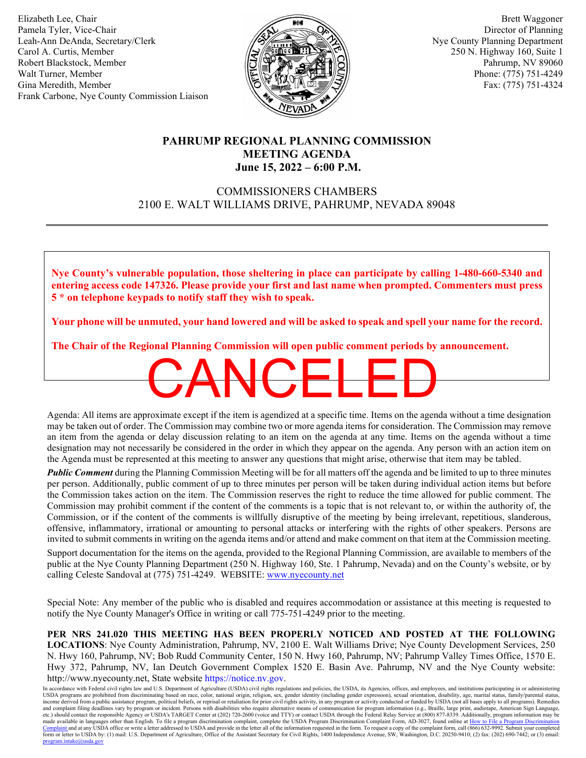Elizabeth Lee, Chair Pamela Tyler, Vice-Chair Leah-Ann DeAnda, Secretary/Clerk Carol A. Curtis, Member Robert Blackstock, Member Walt Turner, Member Gina Meredith, Member Frank Carbone, Nye County Commission Liaison



 Brett Waggoner Director of Planning Nye County Planning Department 250 N. Highway 160, Suite 1 Pahrump, NV 89060 Phone: (775) 751-4249 Fax: (775) 751-4324

## **PAHRUMP REGIONAL PLANNING COMMISSION MEETING AGENDA June 15, 2022 – 6:00 P.M.**

# COMMISSIONERS CHAMBERS 2100 E. WALT WILLIAMS DRIVE, PAHRUMP, NEVADA 89048

**Nye County's vulnerable population, those sheltering in place can participate by calling 1-480-660-5340 and entering access code 147326. Please provide your first and last name when prompted. Commenters must press 5 \* on telephone keypads to notify staff they wish to speak.** 

**Your phone will be unmuted, your hand lowered and will be asked to speak and spell your name for the record.** 

**The Chair of the Regional Planning Commission will open public comment periods by announcement.**

Agenda: All items are approximate except if the item is agendized at a specific time. Items on the agenda without a time designation may be taken out of order. The Commission may combine two or more agenda items for consideration. The Commission may remove an item from the agenda or delay discussion relating to an item on the agenda at any time. Items on the agenda without a time designation may not necessarily be considered in the order in which they appear on the agenda. Any person with an action item on the Agenda must be represented at this meeting to answer any questions that might arise, otherwise that item may be tabled. **CANCELED** 

*Public Comment* during the Planning Commission Meeting will be for all matters off the agenda and be limited to up to three minutes per person. Additionally, public comment of up to three minutes per person will be taken during individual action items but before the Commission takes action on the item. The Commission reserves the right to reduce the time allowed for public comment. The Commission may prohibit comment if the content of the comments is a topic that is not relevant to, or within the authority of, the Commission, or if the content of the comments is willfully disruptive of the meeting by being irrelevant, repetitious, slanderous, offensive, inflammatory, irrational or amounting to personal attacks or interfering with the rights of other speakers. Persons are invited to submit comments in writing on the agenda items and/or attend and make comment on that item at the Commission meeting.

Support documentation for the items on the agenda, provided to the Regional Planning Commission, are available to members of the public at the Nye County Planning Department (250 N. Highway 160, Ste. 1 Pahrump, Nevada) and on the County's website, or by calling Celeste Sandoval at (775) 751-4249. WEBSITE: [www.nyecounty.net](http://www.nyecounty.net/)

Special Note: Any member of the public who is disabled and requires accommodation or assistance at this meeting is requested to notify the Nye County Manager's Office in writing or call 775-751-4249 prior to the meeting.

**PER NRS 241.020 THIS MEETING HAS BEEN PROPERLY NOTICED AND POSTED AT THE FOLLOWING LOCATIONS**: Nye County Administration, Pahrump, NV, 2100 E. Walt Williams Drive; Nye County Development Services, 250 N. Hwy 160, Pahrump, NV; Bob Rudd Community Center, 150 N. Hwy 160, Pahrump, NV; Pahrump Valley Times Office, 1570 E. Hwy 372, Pahrump, NV, Ian Deutch Government Complex 1520 E. Basin Ave. Pahrump, NV and the Nye County website: http://www.nyecounty.net, State website [https://notice.nv.gov.](https://notice.nv.gov/)

In accordance with Federal civil rights law and U.S. Department of Agriculture (USDA) civil rights regulations and policies, the USDA, its Agencies, offices, and employees, and institutions participating in or administerin income derived from a public assistance program, political beliefs, or reprisal or retaliation for prior civil rights activity, in any program or activity conducted or funded by USDA (not all bases apply to all programs). etc.) should contact the responsible Agency or USDA's TARGET Center at (202) 720-2600 (voice and TTY) or contact USDA through the Federal Relay Service at (800) 877-8339. Additionally, program information may be made available in languages other than English. To file a program discrimination complaint, complete the USDA Program Discrimination Complaint Form, AD-3027, found online at <u>How to File a Program Discrimination</u><br>Complaint form or letter to USDA by: (1) mail: U.S. Department of Agriculture, Office of the Assistant Secretary for Civil Rights, 1400 Independence Avenue, SW, Washington, D.C. 20250-9410; (2) fax: (202) 690-7442; or (3) email: [program.intake@usda.gov](mailto:program.intake@usda.gov)